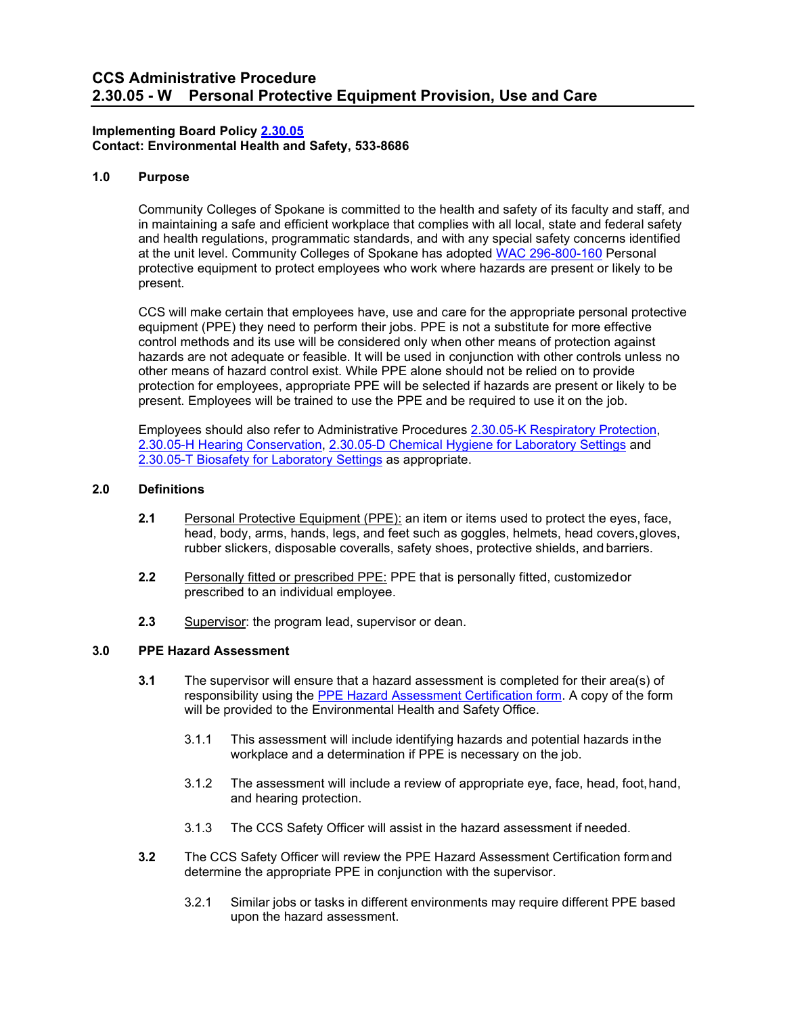#### **Implementing Board Policy [2.30.05](https://ccs.spokane.edu/About-Us/Leadership/Policies-Procedures/Chapter-2-Human-Resources#ACCWE2-9)  Contact: Environmental Health and Safety, 533-8686**

# **1.0 Purpose**

Community Colleges of Spokane is committed to the health and safety of its faculty and staff, and in maintaining a safe and efficient workplace that complies with all local, state and federal safety and health regulations, programmatic standards, and with any special safety concerns identified at the unit level. Community Colleges of Spokane has adopted [WAC 296-800-160](http://apps.leg.wa.gov/wac/default.aspx?cite=296-800-160) Personal protective equipment to protect employees who work where hazards are present or likely to be present.

CCS will make certain that employees have, use and care for the appropriate personal protective equipment (PPE) they need to perform their jobs. PPE is not a substitute for more effective control methods and its use will be considered only when other means of protection against hazards are not adequate or feasible. It will be used in conjunction with other controls unless no other means of hazard control exist. While PPE alone should not be relied on to provide protection for employees, appropriate PPE will be selected if hazards are present or likely to be present. Employees will be trained to use the PPE and be required to use it on the job.

Employees should also refer to Administrative Procedures [2.30.05-K Respiratory Protection,](https://ccs.spokane.edu/ccsglobal/media/Global/PDFs/District/Policies/CH2/2.30.05_WorkplaceSafety/2-30-05K_RespiratoryProtectionProgram.pdf) [2.30.05-H Hearing Conservation,](https://ccs.spokane.edu/ccsglobal/media/Global/PDFs/District/Policies/CH2/2.30.05_WorkplaceSafety/2-30-05H_HearingConservation.pdf) [2.30.05-D Chemical Hygiene for Laboratory Settings](https://ccs.spokane.edu/ccsglobal/media/Global/PDFs/District/Policies/CH2/2.30.05_WorkplaceSafety/2-30-05T_BiosafetyForLaboratorySettings.pdf) and [2.30.05-T Biosafety for Laboratory Settings](https://ccs.spokane.edu/ccsglobal/media/Global/PDFs/District/Policies/CH2/2.30.05_WorkplaceSafety/2-30-05T_BiosafetyForLaboratorySettings.pdf) as appropriate.

#### **2.0 Definitions**

- **2.1** Personal Protective Equipment (PPE): an item or items used to protect the eyes, face, head, body, arms, hands, legs, and feet such as goggles, helmets, head covers,gloves, rubber slickers, disposable coveralls, safety shoes, protective shields, and barriers.
- **2.2** Personally fitted or prescribed PPE: PPE that is personally fitted, customizedor prescribed to an individual employee.
- **2.3** Supervisor: the program lead, supervisor or dean.

#### **3.0 PPE Hazard Assessment**

- **3.1** The supervisor will ensure that a hazard assessment is completed for their area(s) of responsibility using the [PPE Hazard Assessment Certification form.](https://ccsnet.ccs.spokane.edu/-Forms-A-Z/Forms---CCS-Intranet/ccs-12-107.aspx) A copy of the form will be provided to the Environmental Health and Safety Office.
	- 3.1.1 This assessment will include identifying hazards and potential hazards inthe workplace and a determination if PPE is necessary on the job.
	- 3.1.2 The assessment will include a review of appropriate eye, face, head, foot,hand, and hearing protection.
	- 3.1.3 The CCS Safety Officer will assist in the hazard assessment if needed.
- **3.2** The CCS Safety Officer will review the PPE Hazard Assessment Certification formand determine the appropriate PPE in conjunction with the supervisor.
	- 3.2.1 Similar jobs or tasks in different environments may require different PPE based upon the hazard assessment.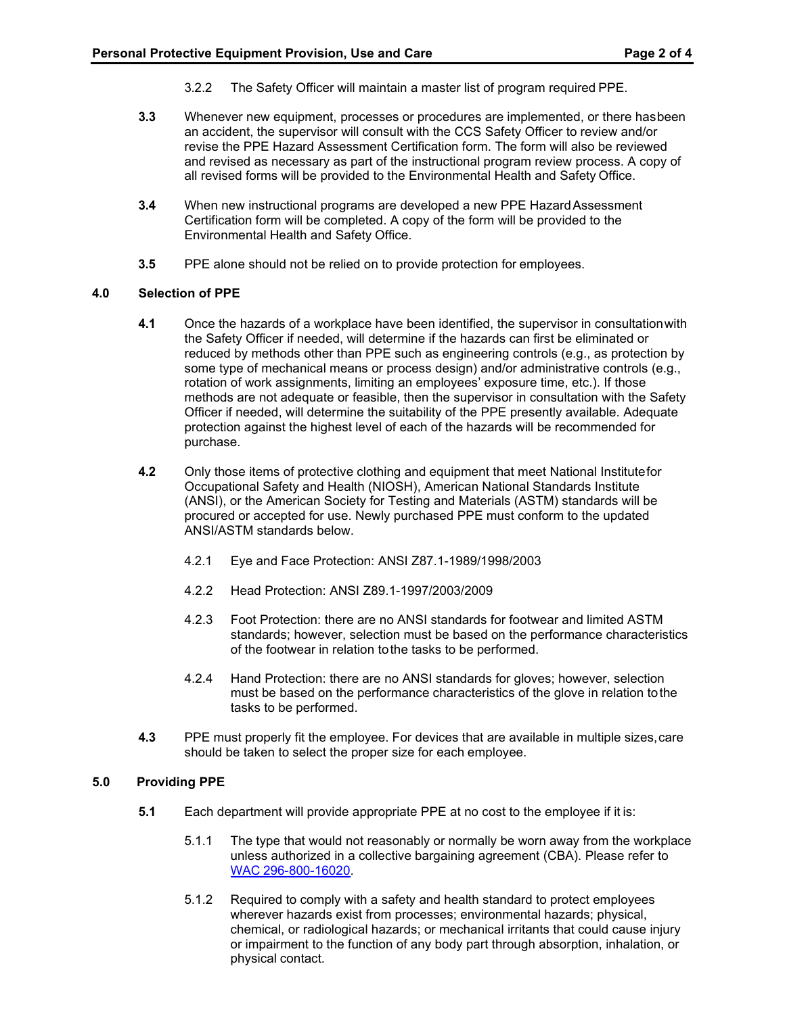- 3.2.2 The Safety Officer will maintain a master list of program required PPE.
- **3.3** Whenever new equipment, processes or procedures are implemented, or there hasbeen an accident, the supervisor will consult with the CCS Safety Officer to review and/or revise the PPE Hazard Assessment Certification form. The form will also be reviewed and revised as necessary as part of the instructional program review process. A copy of all revised forms will be provided to the Environmental Health and Safety Office.
- **3.4** When new instructional programs are developed a new PPE Hazard Assessment Certification form will be completed. A copy of the form will be provided to the Environmental Health and Safety Office.
- **3.5** PPE alone should not be relied on to provide protection for employees.

# **4.0 Selection of PPE**

- **4.1** Once the hazards of a workplace have been identified, the supervisor in consultationwith the Safety Officer if needed, will determine if the hazards can first be eliminated or reduced by methods other than PPE such as engineering controls (e.g., as protection by some type of mechanical means or process design) and/or administrative controls (e.g., rotation of work assignments, limiting an employees' exposure time, etc.). If those methods are not adequate or feasible, then the supervisor in consultation with the Safety Officer if needed, will determine the suitability of the PPE presently available. Adequate protection against the highest level of each of the hazards will be recommended for purchase.
- **4.2** Only those items of protective clothing and equipment that meet National Institutefor Occupational Safety and Health (NIOSH), American National Standards Institute (ANSI), or the American Society for Testing and Materials (ASTM) standards will be procured or accepted for use. Newly purchased PPE must conform to the updated ANSI/ASTM standards below.
	- 4.2.1 Eye and Face Protection: ANSI Z87.1-1989/1998/2003
	- 4.2.2 Head Protection: ANSI Z89.1-1997/2003/2009
	- 4.2.3 Foot Protection: there are no ANSI standards for footwear and limited ASTM standards; however, selection must be based on the performance characteristics of the footwear in relation tothe tasks to be performed.
	- 4.2.4 Hand Protection: there are no ANSI standards for gloves; however, selection must be based on the performance characteristics of the glove in relation tothe tasks to be performed.
- **4.3** PPE must properly fit the employee. For devices that are available in multiple sizes, care should be taken to select the proper size for each employee.

#### **5.0 Providing PPE**

- **5.1** Each department will provide appropriate PPE at no cost to the employee if it is:
	- 5.1.1 The type that would not reasonably or normally be worn away from the workplace unless authorized in a collective bargaining agreement (CBA). Please refer to WAC [296-800-16020.](http://apps.leg.wa.gov/WAC/default.aspx?cite=296-800-16020)
	- 5.1.2 Required to comply with a safety and health standard to protect employees wherever hazards exist from processes; environmental hazards; physical, chemical, or radiological hazards; or mechanical irritants that could cause injury or impairment to the function of any body part through absorption, inhalation, or physical contact.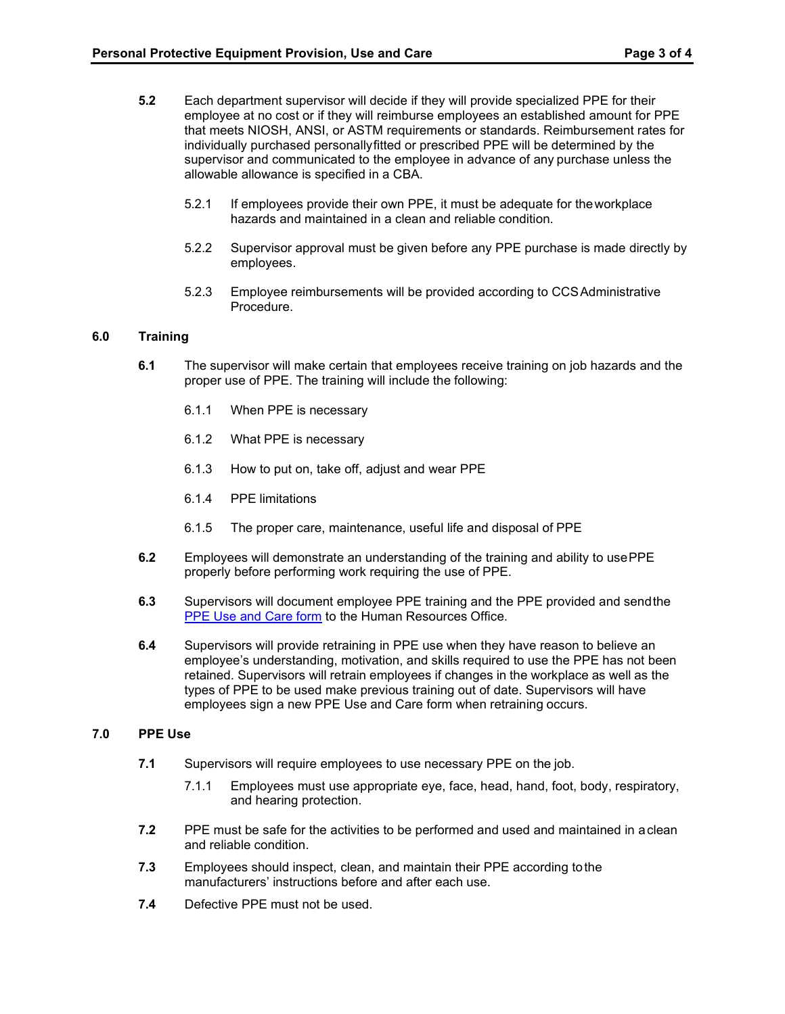- **5.2** Each department supervisor will decide if they will provide specialized PPE for their employee at no cost or if they will reimburse employees an established amount for PPE that meets NIOSH, ANSI, or ASTM requirements or standards. Reimbursement rates for individually purchased personallyfitted or prescribed PPE will be determined by the supervisor and communicated to the employee in advance of any purchase unless the allowable allowance is specified in a CBA.
	- 5.2.1 If employees provide their own PPE, it must be adequate for theworkplace hazards and maintained in a clean and reliable condition.
	- 5.2.2 Supervisor approval must be given before any PPE purchase is made directly by employees.
	- 5.2.3 Employee reimbursements will be provided according to CCSAdministrative Procedure.

# **6.0 Training**

- **6.1** The supervisor will make certain that employees receive training on job hazards and the proper use of PPE. The training will include the following:
	- 6.1.1 When PPE is necessary
	- 6.1.2 What PPE is necessary
	- 6.1.3 How to put on, take off, adjust and wear PPE
	- 6.1.4 PPE limitations
	- 6.1.5 The proper care, maintenance, useful life and disposal of PPE
- **6.2** Employees will demonstrate an understanding of the training and ability to use PPE properly before performing work requiring the use of PPE.
- **6.3** Supervisors will document employee PPE training and the PPE provided and sendthe [PPE Use and Care form](https://ccsnet.ccs.spokane.edu/-Forms-A-Z/Forms---CCS-Intranet/ccs-12-109.aspx) to the Human Resources Office.
- **6.4** Supervisors will provide retraining in PPE use when they have reason to believe an employee's understanding, motivation, and skills required to use the PPE has not been retained. Supervisors will retrain employees if changes in the workplace as well as the types of PPE to be used make previous training out of date. Supervisors will have employees sign a new PPE Use and Care form when retraining occurs.

# **7.0 PPE Use**

- **7.1** Supervisors will require employees to use necessary PPE on the job.
	- 7.1.1 Employees must use appropriate eye, face, head, hand, foot, body, respiratory, and hearing protection.
- **7.2** PPE must be safe for the activities to be performed and used and maintained in aclean and reliable condition.
- **7.3** Employees should inspect, clean, and maintain their PPE according tothe manufacturers' instructions before and after each use.
- **7.4** Defective PPE must not be used.